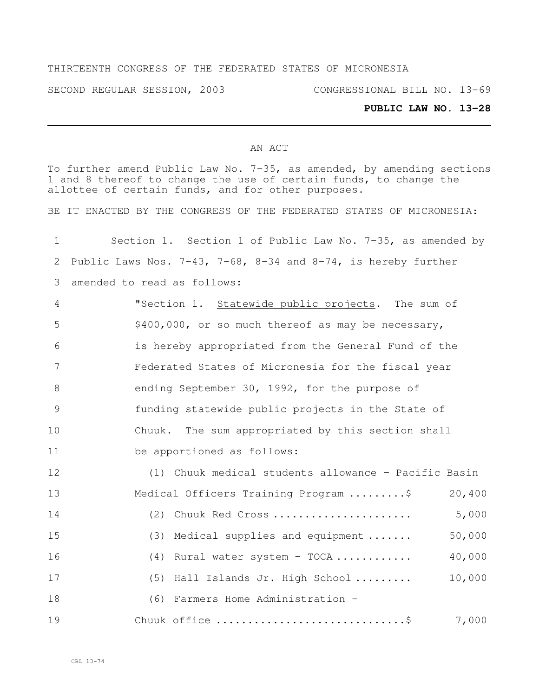# THIRTEENTH CONGRESS OF THE FEDERATED STATES OF MICRONESIA

SECOND REGULAR SESSION, 2003 CONGRESSIONAL BILL NO. 13-69

### **PUBLIC LAW NO. 13-28**

#### AN ACT

To further amend Public Law No. 7-35, as amended, by amending sections and 8 thereof to change the use of certain funds, to change the allottee of certain funds, and for other purposes.

BE IT ENACTED BY THE CONGRESS OF THE FEDERATED STATES OF MICRONESIA:

| $\mathbf 1$ | Section 1. Section 1 of Public Law No. 7-35, as amended by    |  |  |  |  |  |  |  |  |
|-------------|---------------------------------------------------------------|--|--|--|--|--|--|--|--|
| 2           | Public Laws Nos. 7-43, 7-68, 8-34 and 8-74, is hereby further |  |  |  |  |  |  |  |  |
| 3           | amended to read as follows:                                   |  |  |  |  |  |  |  |  |
| 4           | "Section 1. Statewide public projects. The sum of             |  |  |  |  |  |  |  |  |
| 5           | \$400,000, or so much thereof as may be necessary,            |  |  |  |  |  |  |  |  |
| 6           | is hereby appropriated from the General Fund of the           |  |  |  |  |  |  |  |  |
| 7           | Federated States of Micronesia for the fiscal year            |  |  |  |  |  |  |  |  |
| 8           | ending September 30, 1992, for the purpose of                 |  |  |  |  |  |  |  |  |
| 9           | funding statewide public projects in the State of             |  |  |  |  |  |  |  |  |
| 10          | Chuuk. The sum appropriated by this section shall             |  |  |  |  |  |  |  |  |
| 11          | be apportioned as follows:                                    |  |  |  |  |  |  |  |  |
| 12          | (1) Chuuk medical students allowance - Pacific Basin          |  |  |  |  |  |  |  |  |
| 13          | Medical Officers Training Program \$<br>20,400                |  |  |  |  |  |  |  |  |
| 14          | 5,000<br>(2) Chuuk Red Cross                                  |  |  |  |  |  |  |  |  |
| 15          | 50,000<br>(3) Medical supplies and equipment                  |  |  |  |  |  |  |  |  |
| 16          | 40,000<br>$(4)$ Rural water system - TOCA                     |  |  |  |  |  |  |  |  |
| 17          | 10,000<br>(5) Hall Islands Jr. High School                    |  |  |  |  |  |  |  |  |
| 18          | (6) Farmers Home Administration -                             |  |  |  |  |  |  |  |  |
| 19          | 7,000<br>Chuuk office \$                                      |  |  |  |  |  |  |  |  |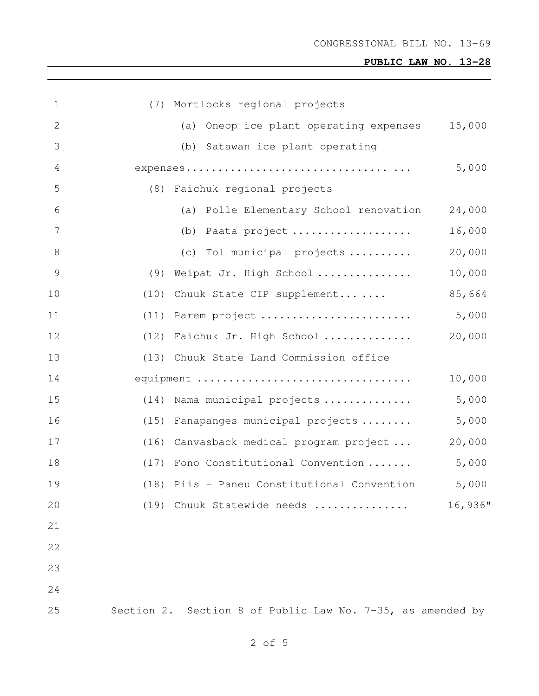# **PUBLIC LAW NO. 13-28**

| $\mathbf 1$   | (7) Mortlocks regional projects                            |
|---------------|------------------------------------------------------------|
| $\mathbf{2}$  | 15,000<br>(a) Oneop ice plant operating expenses           |
| 3             | (b) Satawan ice plant operating                            |
| 4             | 5,000                                                      |
| 5             | (8) Faichuk regional projects                              |
| 6             | (a) Polle Elementary School renovation<br>24,000           |
| 7             | 16,000<br>(b) Paata project                                |
| 8             | (c) Tol municipal projects<br>20,000                       |
| $\mathcal{G}$ | (9) Weipat Jr. High School<br>10,000                       |
| 10            | (10) Chuuk State CIP supplement<br>85,664                  |
| 11            | 5,000<br>(11) Parem project                                |
| 12            | 20,000<br>(12) Faichuk Jr. High School                     |
| 13            | (13) Chuuk State Land Commission office                    |
| 14            | 10,000<br>equipment                                        |
| 15            | 5,000<br>(14) Nama municipal projects                      |
| 16            | 5,000<br>(15) Fanapanges municipal projects                |
| 17            | (16) Canvasback medical program project<br>20,000          |
| 18            | 5,000<br>(17) Fono Constitutional Convention               |
| 19            | (18) Piis - Paneu Constitutional Convention<br>5,000       |
| 20            | 16,936"<br>(19) Chuuk Statewide needs                      |
| 21            |                                                            |
| 22            |                                                            |
| 23            |                                                            |
| 24            |                                                            |
| 25            | Section 2. Section 8 of Public Law No. 7-35, as amended by |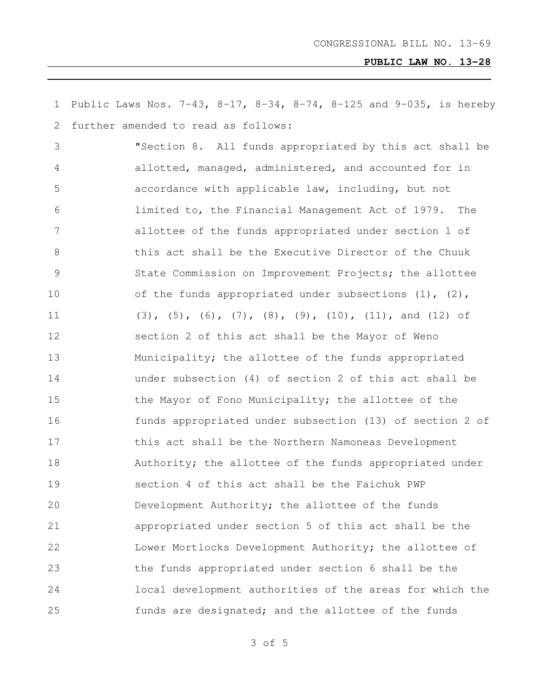Public Laws Nos. 7-43, 8-17, 8-34, 8-74, 8-125 and 9-035, is hereby further amended to read as follows: "Section 8. All funds appropriated by this act shall be allotted, managed, administered, and accounted for in accordance with applicable law, including, but not limited to, the Financial Management Act of 1979. The allottee of the funds appropriated under section 1 of this act shall be the Executive Director of the Chuuk State Commission on Improvement Projects; the allottee 10 of the funds appropriated under subsections (1), (2), (3), (5), (6), (7), (8), (9), (10), (11), and (12) of section 2 of this act shall be the Mayor of Weno Municipality; the allottee of the funds appropriated under subsection (4) of section 2 of this act shall be 15 the Mayor of Fono Municipality; the allottee of the funds appropriated under subsection (13) of section 2 of this act shall be the Northern Namoneas Development 18 Authority; the allottee of the funds appropriated under section 4 of this act shall be the Faichuk PWP Development Authority; the allottee of the funds appropriated under section 5 of this act shall be the Lower Mortlocks Development Authority; the allottee of the funds appropriated under section 6 shall be the local development authorities of the areas for which the funds are designated; and the allottee of the funds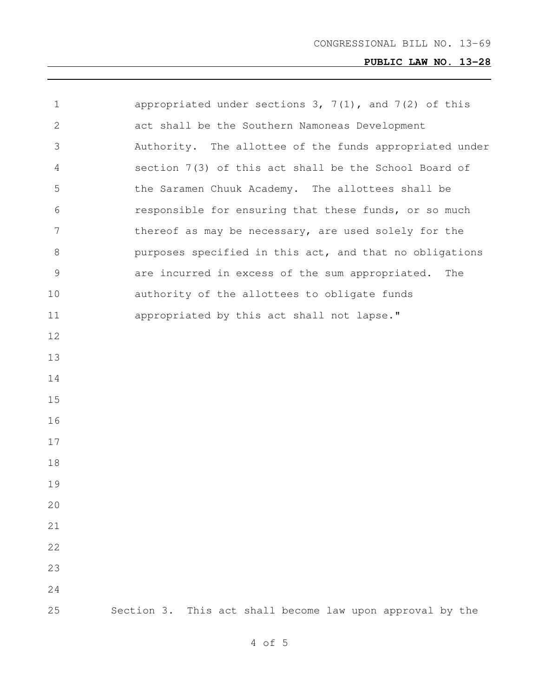# **PUBLIC LAW NO. 13-28**

| $\mathbf 1$   | appropriated under sections $3, 7(1)$ , and $7(2)$ of this |
|---------------|------------------------------------------------------------|
| 2             | act shall be the Southern Namoneas Development             |
| 3             | Authority. The allottee of the funds appropriated under    |
| 4             | section 7(3) of this act shall be the School Board of      |
| 5             | the Saramen Chuuk Academy. The allottees shall be          |
| 6             | responsible for ensuring that these funds, or so much      |
| 7             | thereof as may be necessary, are used solely for the       |
| 8             | purposes specified in this act, and that no obligations    |
| $\mathcal{G}$ | are incurred in excess of the sum appropriated.<br>The     |
| 10            | authority of the allottees to obligate funds               |
| 11            | appropriated by this act shall not lapse."                 |
| 12            |                                                            |
| 13            |                                                            |
| 14            |                                                            |
| 15            |                                                            |
| 16            |                                                            |
| 17            |                                                            |
| 18            |                                                            |
| 19            |                                                            |
| 20            |                                                            |
| 21            |                                                            |
| 22            |                                                            |
| 23            |                                                            |
| 24            |                                                            |
| 25            | Section 3. This act shall become law upon approval by the  |
|               |                                                            |